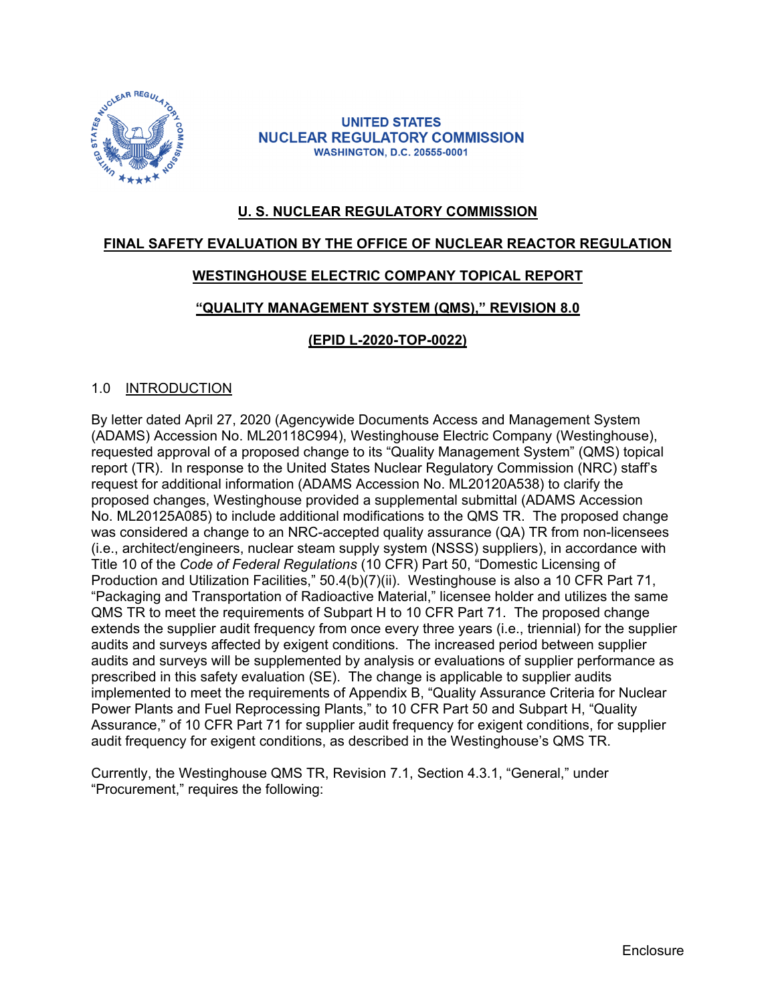

**UNITED STATES NUCLEAR REGULATORY COMMISSION WASHINGTON, D.C. 20555-0001** 

# **U. S. NUCLEAR REGULATORY COMMISSION**

## **FINAL SAFETY EVALUATION BY THE OFFICE OF NUCLEAR REACTOR REGULATION**

## **WESTINGHOUSE ELECTRIC COMPANY TOPICAL REPORT**

#### **"QUALITY MANAGEMENT SYSTEM (QMS)," REVISION 8.0**

## **(EPID L-2020-TOP-0022)**

#### 1.0 INTRODUCTION

By letter dated April 27, 2020 (Agencywide Documents Access and Management System (ADAMS) Accession No. ML20118C994), Westinghouse Electric Company (Westinghouse), requested approval of a proposed change to its "Quality Management System" (QMS) topical report (TR). In response to the United States Nuclear Regulatory Commission (NRC) staff's request for additional information (ADAMS Accession No. ML20120A538) to clarify the proposed changes, Westinghouse provided a supplemental submittal (ADAMS Accession No. ML20125A085) to include additional modifications to the QMS TR. The proposed change was considered a change to an NRC-accepted quality assurance (QA) TR from non-licensees (i.e., architect/engineers, nuclear steam supply system (NSSS) suppliers), in accordance with Title 10 of the *Code of Federal Regulations* (10 CFR) Part 50, "Domestic Licensing of Production and Utilization Facilities," 50.4(b)(7)(ii). Westinghouse is also a 10 CFR Part 71, "Packaging and Transportation of Radioactive Material," licensee holder and utilizes the same QMS TR to meet the requirements of Subpart H to 10 CFR Part 71. The proposed change extends the supplier audit frequency from once every three years (i.e., triennial) for the supplier audits and surveys affected by exigent conditions. The increased period between supplier audits and surveys will be supplemented by analysis or evaluations of supplier performance as prescribed in this safety evaluation (SE). The change is applicable to supplier audits implemented to meet the requirements of Appendix B, "Quality Assurance Criteria for Nuclear Power Plants and Fuel Reprocessing Plants," to 10 CFR Part 50 and Subpart H, "Quality Assurance," of 10 CFR Part 71 for supplier audit frequency for exigent conditions, for supplier audit frequency for exigent conditions, as described in the Westinghouse's QMS TR.

Currently, the Westinghouse QMS TR, Revision 7.1, Section 4.3.1, "General," under "Procurement," requires the following: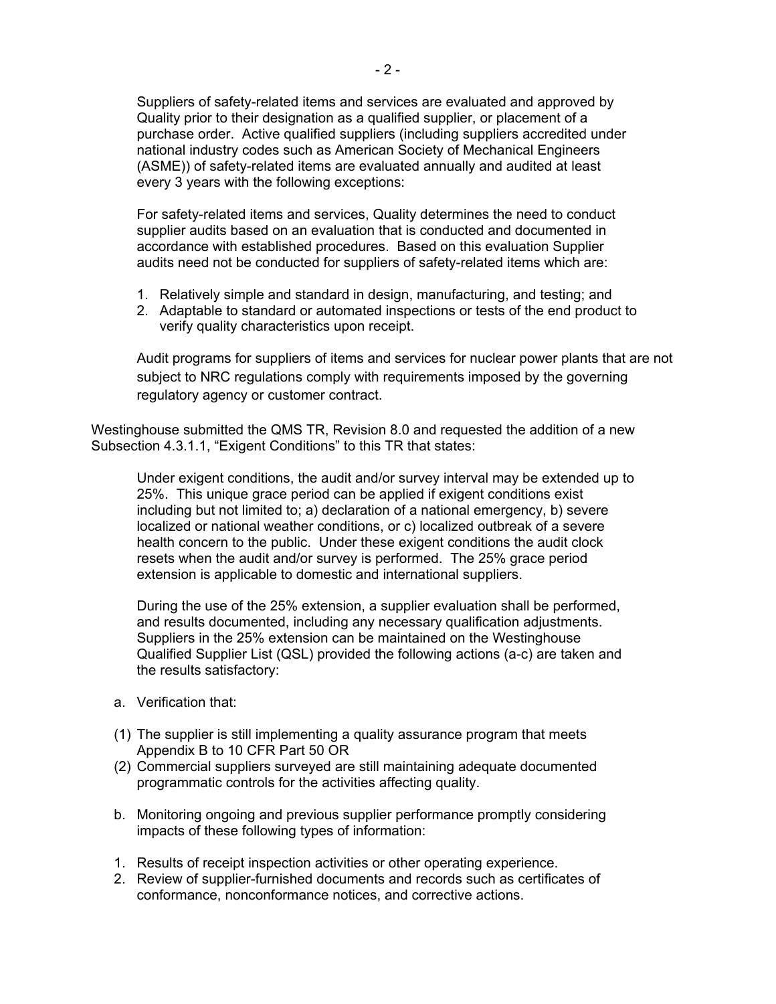Suppliers of safety-related items and services are evaluated and approved by Quality prior to their designation as a qualified supplier, or placement of a purchase order. Active qualified suppliers (including suppliers accredited under national industry codes such as American Society of Mechanical Engineers (ASME)) of safety-related items are evaluated annually and audited at least every 3 years with the following exceptions:

For safety-related items and services, Quality determines the need to conduct supplier audits based on an evaluation that is conducted and documented in accordance with established procedures. Based on this evaluation Supplier audits need not be conducted for suppliers of safety-related items which are:

- 1. Relatively simple and standard in design, manufacturing, and testing; and
- 2. Adaptable to standard or automated inspections or tests of the end product to verify quality characteristics upon receipt.

Audit programs for suppliers of items and services for nuclear power plants that are not subject to NRC regulations comply with requirements imposed by the governing regulatory agency or customer contract.

Westinghouse submitted the QMS TR, Revision 8.0 and requested the addition of a new Subsection 4.3.1.1, "Exigent Conditions" to this TR that states:

Under exigent conditions, the audit and/or survey interval may be extended up to 25%. This unique grace period can be applied if exigent conditions exist including but not limited to; a) declaration of a national emergency, b) severe localized or national weather conditions, or c) localized outbreak of a severe health concern to the public. Under these exigent conditions the audit clock resets when the audit and/or survey is performed. The 25% grace period extension is applicable to domestic and international suppliers.

During the use of the 25% extension, a supplier evaluation shall be performed, and results documented, including any necessary qualification adjustments. Suppliers in the 25% extension can be maintained on the Westinghouse Qualified Supplier List (QSL) provided the following actions (a-c) are taken and the results satisfactory:

- a. Verification that:
- (1) The supplier is still implementing a quality assurance program that meets Appendix B to 10 CFR Part 50 OR
- (2) Commercial suppliers surveyed are still maintaining adequate documented programmatic controls for the activities affecting quality.
- b. Monitoring ongoing and previous supplier performance promptly considering impacts of these following types of information:
- 1. Results of receipt inspection activities or other operating experience.
- 2. Review of supplier-furnished documents and records such as certificates of conformance, nonconformance notices, and corrective actions.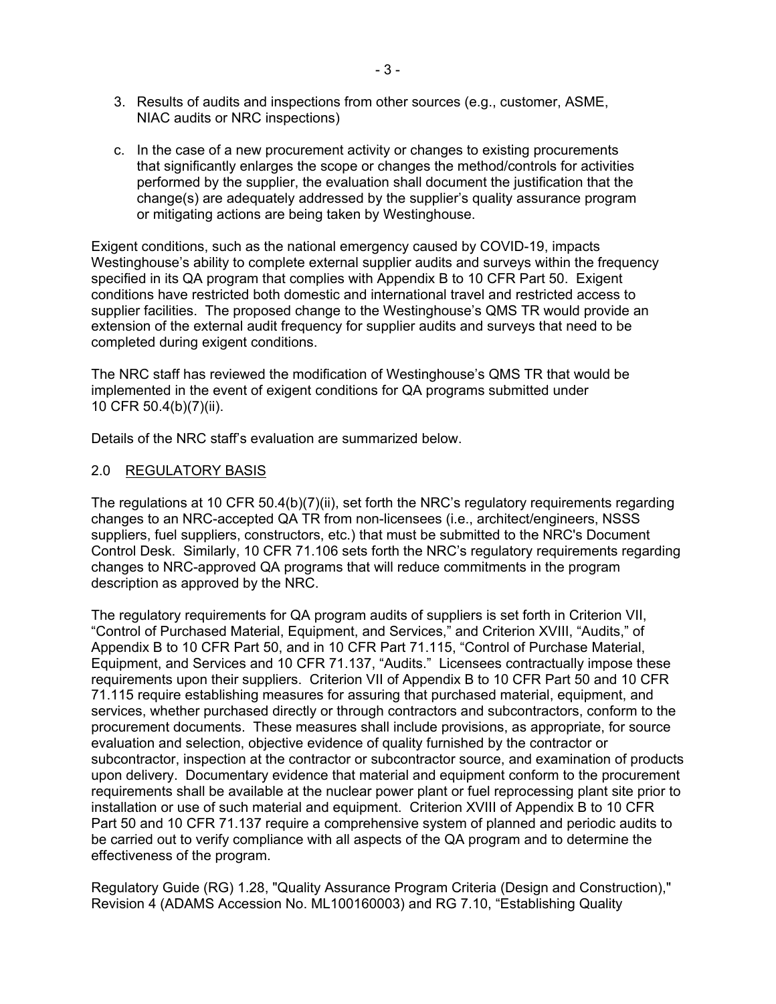- 3. Results of audits and inspections from other sources (e.g., customer, ASME, NIAC audits or NRC inspections)
- c. In the case of a new procurement activity or changes to existing procurements that significantly enlarges the scope or changes the method/controls for activities performed by the supplier, the evaluation shall document the justification that the change(s) are adequately addressed by the supplier's quality assurance program or mitigating actions are being taken by Westinghouse.

Exigent conditions, such as the national emergency caused by COVID-19, impacts Westinghouse's ability to complete external supplier audits and surveys within the frequency specified in its QA program that complies with Appendix B to 10 CFR Part 50. Exigent conditions have restricted both domestic and international travel and restricted access to supplier facilities. The proposed change to the Westinghouse's QMS TR would provide an extension of the external audit frequency for supplier audits and surveys that need to be completed during exigent conditions.

The NRC staff has reviewed the modification of Westinghouse's QMS TR that would be implemented in the event of exigent conditions for QA programs submitted under 10 CFR 50.4(b)(7)(ii).

Details of the NRC staff's evaluation are summarized below.

#### 2.0 REGULATORY BASIS

The regulations at 10 CFR 50.4(b)(7)(ii), set forth the NRC's regulatory requirements regarding changes to an NRC-accepted QA TR from non-licensees (i.e., architect/engineers, NSSS suppliers, fuel suppliers, constructors, etc.) that must be submitted to the NRC's Document Control Desk. Similarly, 10 CFR 71.106 sets forth the NRC's regulatory requirements regarding changes to NRC-approved QA programs that will reduce commitments in the program description as approved by the NRC.

The regulatory requirements for QA program audits of suppliers is set forth in Criterion VII, "Control of Purchased Material, Equipment, and Services," and Criterion XVIII, "Audits," of Appendix B to 10 CFR Part 50, and in 10 CFR Part 71.115, "Control of Purchase Material, Equipment, and Services and 10 CFR 71.137, "Audits." Licensees contractually impose these requirements upon their suppliers. Criterion VII of Appendix B to 10 CFR Part 50 and 10 CFR 71.115 require establishing measures for assuring that purchased material, equipment, and services, whether purchased directly or through contractors and subcontractors, conform to the procurement documents. These measures shall include provisions, as appropriate, for source evaluation and selection, objective evidence of quality furnished by the contractor or subcontractor, inspection at the contractor or subcontractor source, and examination of products upon delivery. Documentary evidence that material and equipment conform to the procurement requirements shall be available at the nuclear power plant or fuel reprocessing plant site prior to installation or use of such material and equipment. Criterion XVIII of Appendix B to 10 CFR Part 50 and 10 CFR 71.137 require a comprehensive system of planned and periodic audits to be carried out to verify compliance with all aspects of the QA program and to determine the effectiveness of the program.

Regulatory Guide (RG) 1.28, "Quality Assurance Program Criteria (Design and Construction)," Revision 4 (ADAMS Accession No. ML100160003) and RG 7.10, "Establishing Quality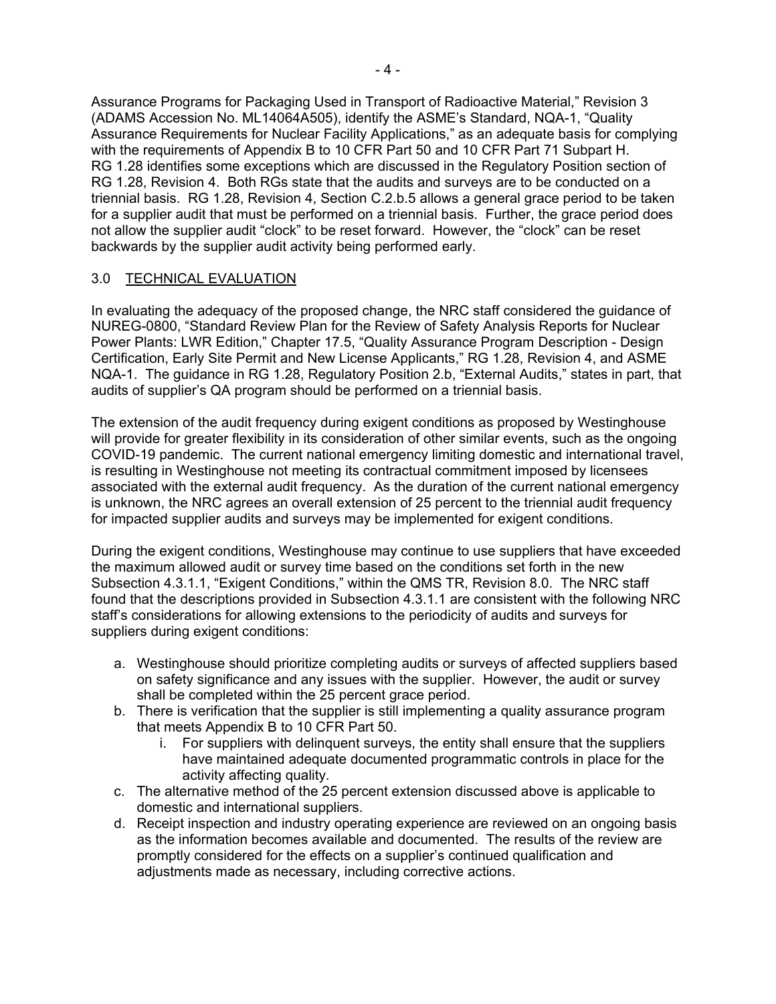Assurance Programs for Packaging Used in Transport of Radioactive Material," Revision 3 (ADAMS Accession No. ML14064A505), identify the ASME's Standard, NQA-1, "Quality Assurance Requirements for Nuclear Facility Applications," as an adequate basis for complying with the requirements of Appendix B to 10 CFR Part 50 and 10 CFR Part 71 Subpart H. RG 1.28 identifies some exceptions which are discussed in the Regulatory Position section of RG 1.28, Revision 4. Both RGs state that the audits and surveys are to be conducted on a triennial basis. RG 1.28, Revision 4, Section C.2.b.5 allows a general grace period to be taken for a supplier audit that must be performed on a triennial basis. Further, the grace period does not allow the supplier audit "clock" to be reset forward. However, the "clock" can be reset backwards by the supplier audit activity being performed early.

## 3.0 TECHNICAL EVALUATION

In evaluating the adequacy of the proposed change, the NRC staff considered the guidance of NUREG-0800, "Standard Review Plan for the Review of Safety Analysis Reports for Nuclear Power Plants: LWR Edition," Chapter 17.5, "Quality Assurance Program Description - Design Certification, Early Site Permit and New License Applicants," RG 1.28, Revision 4, and ASME NQA-1. The guidance in RG 1.28, Regulatory Position 2.b, "External Audits," states in part, that audits of supplier's QA program should be performed on a triennial basis.

The extension of the audit frequency during exigent conditions as proposed by Westinghouse will provide for greater flexibility in its consideration of other similar events, such as the ongoing COVID-19 pandemic. The current national emergency limiting domestic and international travel, is resulting in Westinghouse not meeting its contractual commitment imposed by licensees associated with the external audit frequency. As the duration of the current national emergency is unknown, the NRC agrees an overall extension of 25 percent to the triennial audit frequency for impacted supplier audits and surveys may be implemented for exigent conditions.

During the exigent conditions, Westinghouse may continue to use suppliers that have exceeded the maximum allowed audit or survey time based on the conditions set forth in the new Subsection 4.3.1.1, "Exigent Conditions," within the QMS TR, Revision 8.0. The NRC staff found that the descriptions provided in Subsection 4.3.1.1 are consistent with the following NRC staff's considerations for allowing extensions to the periodicity of audits and surveys for suppliers during exigent conditions:

- a. Westinghouse should prioritize completing audits or surveys of affected suppliers based on safety significance and any issues with the supplier. However, the audit or survey shall be completed within the 25 percent grace period.
- b. There is verification that the supplier is still implementing a quality assurance program that meets Appendix B to 10 CFR Part 50.
	- i. For suppliers with delinquent surveys, the entity shall ensure that the suppliers have maintained adequate documented programmatic controls in place for the activity affecting quality.
- c. The alternative method of the 25 percent extension discussed above is applicable to domestic and international suppliers.
- d. Receipt inspection and industry operating experience are reviewed on an ongoing basis as the information becomes available and documented. The results of the review are promptly considered for the effects on a supplier's continued qualification and adjustments made as necessary, including corrective actions.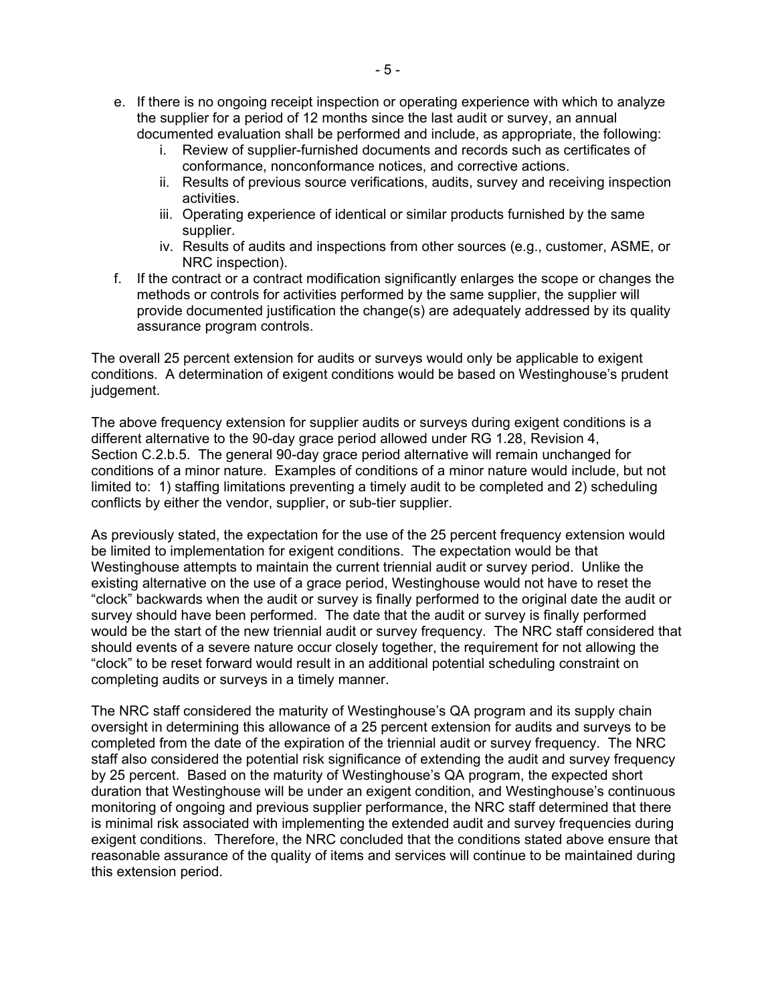- e. If there is no ongoing receipt inspection or operating experience with which to analyze the supplier for a period of 12 months since the last audit or survey, an annual documented evaluation shall be performed and include, as appropriate, the following:
	- i. Review of supplier-furnished documents and records such as certificates of conformance, nonconformance notices, and corrective actions.
	- ii. Results of previous source verifications, audits, survey and receiving inspection activities.
	- iii. Operating experience of identical or similar products furnished by the same supplier.
	- iv. Results of audits and inspections from other sources (e.g., customer, ASME, or NRC inspection).
- f. If the contract or a contract modification significantly enlarges the scope or changes the methods or controls for activities performed by the same supplier, the supplier will provide documented justification the change(s) are adequately addressed by its quality assurance program controls.

The overall 25 percent extension for audits or surveys would only be applicable to exigent conditions. A determination of exigent conditions would be based on Westinghouse's prudent judgement.

The above frequency extension for supplier audits or surveys during exigent conditions is a different alternative to the 90-day grace period allowed under RG 1.28, Revision 4, Section C.2.b.5. The general 90-day grace period alternative will remain unchanged for conditions of a minor nature. Examples of conditions of a minor nature would include, but not limited to: 1) staffing limitations preventing a timely audit to be completed and 2) scheduling conflicts by either the vendor, supplier, or sub-tier supplier.

As previously stated, the expectation for the use of the 25 percent frequency extension would be limited to implementation for exigent conditions. The expectation would be that Westinghouse attempts to maintain the current triennial audit or survey period. Unlike the existing alternative on the use of a grace period, Westinghouse would not have to reset the "clock" backwards when the audit or survey is finally performed to the original date the audit or survey should have been performed. The date that the audit or survey is finally performed would be the start of the new triennial audit or survey frequency. The NRC staff considered that should events of a severe nature occur closely together, the requirement for not allowing the "clock" to be reset forward would result in an additional potential scheduling constraint on completing audits or surveys in a timely manner.

The NRC staff considered the maturity of Westinghouse's QA program and its supply chain oversight in determining this allowance of a 25 percent extension for audits and surveys to be completed from the date of the expiration of the triennial audit or survey frequency. The NRC staff also considered the potential risk significance of extending the audit and survey frequency by 25 percent. Based on the maturity of Westinghouse's QA program, the expected short duration that Westinghouse will be under an exigent condition, and Westinghouse's continuous monitoring of ongoing and previous supplier performance, the NRC staff determined that there is minimal risk associated with implementing the extended audit and survey frequencies during exigent conditions. Therefore, the NRC concluded that the conditions stated above ensure that reasonable assurance of the quality of items and services will continue to be maintained during this extension period.